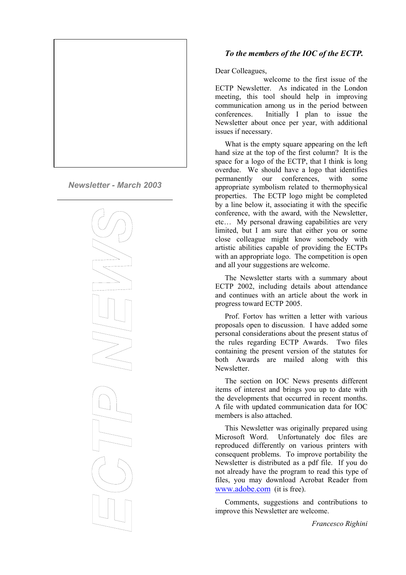

*Newsletter - March 2003*



## *To the members of the IOC of the ECTP.*

## Dear Colleagues,

welcome to the first issue of the ECTP Newsletter. As indicated in the London meeting, this tool should help in improving communication among us in the period between conferences. Initially I plan to issue the Newsletter about once per year, with additional issues if necessary.

What is the empty square appearing on the left hand size at the top of the first column? It is the space for a logo of the ECTP, that I think is long overdue. We should have a logo that identifies permanently our conferences, with some appropriate symbolism related to thermophysical properties. The ECTP logo might be completed by a line below it, associating it with the specific conference, with the award, with the Newsletter, etc… My personal drawing capabilities are very limited, but I am sure that either you or some close colleague might know somebody with artistic abilities capable of providing the ECTPs with an appropriate logo. The competition is open and all your suggestions are welcome.

The Newsletter starts with a summary about ECTP 2002, including details about attendance and continues with an article about the work in progress toward ECTP 2005.

Prof. Fortov has written a letter with various proposals open to discussion. I have added some personal considerations about the present status of the rules regarding ECTP Awards. Two files containing the present version of the statutes for both Awards are mailed along with this Newsletter.

The section on IOC News presents different items of interest and brings you up to date with the developments that occurred in recent months. A file with updated communication data for IOC members is also attached.

This Newsletter was originally prepared using Microsoft Word. Unfortunately doc files are reproduced differently on various printers with consequent problems. To improve portability the Newsletter is distributed as a pdf file. If you do not already have the program to read this type of files, you may download Acrobat Reader from [www.adobe.com](http://www.adobe.com/) (it is free).

Comments, suggestions and contributions to improve this Newsletter are welcome.

*Francesco Righini*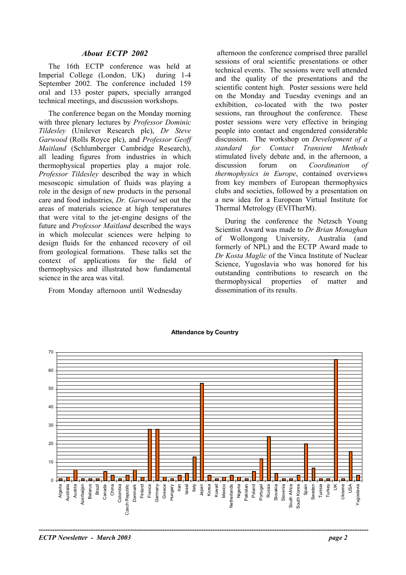## *About ECTP 2002*

The 16th ECTP conference was held at Imperial College (London, UK) during 1-4 September 2002. The conference included 159 oral and 133 poster papers, specially arranged technical meetings, and discussion workshops.

The conference began on the Monday morning with three plenary lectures by *Professor Dominic Tildesley* (Unilever Research plc), *Dr Steve Garwood* (Rolls Royce plc), and *Professor Geoff Maitland* (Schlumberger Cambridge Research), all leading figures from industries in which thermophysical properties play a major role. *Professor Tildesley* described the way in which mesoscopic simulation of fluids was playing a role in the design of new products in the personal care and food industries, *Dr. Garwood* set out the areas of materials science at high temperatures that were vital to the jet-engine designs of the future and *Professor Maitland* described the ways in which molecular sciences were helping to design fluids for the enhanced recovery of oil from geological formations. These talks set the context of applications for the field of thermophysics and illustrated how fundamental science in the area was vital.

From Monday afternoon until Wednesday

 afternoon the conference comprised three parallel sessions of oral scientific presentations or other technical events. The sessions were well attended and the quality of the presentations and the scientific content high. Poster sessions were held on the Monday and Tuesday evenings and an exhibition, co-located with the two poster sessions, ran throughout the conference. These poster sessions were very effective in bringing people into contact and engendered considerable discussion. The workshop on *Development of a standard for Contact Transient Methods* stimulated lively debate and, in the afternoon, a discussion forum on *Coordination of thermophysics in Europe*, contained overviews from key members of European thermophysics clubs and societies, followed by a presentation on a new idea for a European Virtual Institute for Thermal Metrology (EVITherM).

During the conference the Netzsch Young Scientist Award was made to *Dr Brian Monaghan* of Wollongong University, Australia (and formerly of NPL) and the ECTP Award made to *Dr Kosta Maglic* of the Vinca Institute of Nuclear Science, Yugoslavia who was honored for his outstanding contributions to research on the thermophysical properties of matter and dissemination of its results.



#### **Attendance by Country**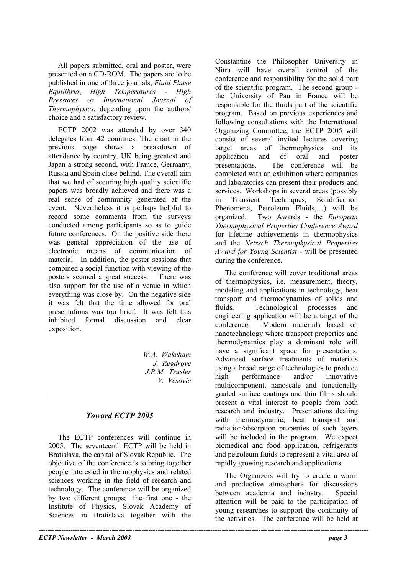All papers submitted, oral and poster, were presented on a CD-ROM. The papers are to be published in one of three journals, *Fluid Phase Equilibria*, *High Temperatures - High Pressures* or *International Journal of Thermophysics*, depending upon the authors' choice and a satisfactory review.

ECTP 2002 was attended by over 340 delegates from 42 countries. The chart in the previous page shows a breakdown of attendance by country, UK being greatest and Japan a strong second, with France, Germany, Russia and Spain close behind. The overall aim that we had of securing high quality scientific papers was broadly achieved and there was a real sense of community generated at the event. Nevertheless it is perhaps helpful to record some comments from the surveys conducted among participants so as to guide future conferences. On the positive side there was general appreciation of the use of electronic means of communication of material. In addition, the poster sessions that combined a social function with viewing of the posters seemed a great success. There was also support for the use of a venue in which everything was close by. On the negative side it was felt that the time allowed for oral presentations was too brief. It was felt this inhibited formal discussion and clear exposition.

> *W.A. Wakeham J. Regdrove J.P.M. Trusler V. Vesovic*

# *Toward ECTP 2005*

 $\mathcal{L}_\text{max}$ 

The ECTP conferences will continue in 2005. The seventeenth ECTP will be held in Bratislava, the capital of Slovak Republic. The objective of the conference is to bring together people interested in thermophysics and related sciences working in the field of research and technology. The conference will be organized by two different groups; the first one - the Institute of Physics, Slovak Academy of Sciences in Bratislava together with the

Constantine the Philosopher University in Nitra will have overall control of the conference and responsibility for the solid part of the scientific program. The second group the University of Pau in France will be responsible for the fluids part of the scientific program. Based on previous experiences and following consultations with the International Organizing Committee, the ECTP 2005 will consist of several invited lectures covering target areas of thermophysics and its application and of oral and poster presentations. The conference will be completed with an exhibition where companies and laboratories can present their products and services. Workshops in several areas (possibly in Transient Techniques, Solidification Phenomena, Petroleum Fluids,…) will be organized. Two Awards - the *European Thermophysical Properties Conference Award* for lifetime achievements in thermophysics and the *Netzsch Thermophysical Properties Award for Young Scientist* - will be presented during the conference.

The conference will cover traditional areas of thermophysics, i.e. measurement, theory, modeling and applications in technology, heat transport and thermodynamics of solids and fluids. Technological processes and engineering application will be a target of the conference. Modern materials based on nanotechnology where transport properties and thermodynamics play a dominant role will have a significant space for presentations. Advanced surface treatments of materials using a broad range of technologies to produce high performance and/or innovative multicomponent, nanoscale and functionally graded surface coatings and thin films should present a vital interest to people from both research and industry. Presentations dealing with thermodynamic, heat transport and radiation/absorption properties of such layers will be included in the program. We expect biomedical and food application, refrigerants and petroleum fluids to represent a vital area of rapidly growing research and applications.

The Organizers will try to create a warm and productive atmosphere for discussions between academia and industry. Special attention will be paid to the participation of young researches to support the continuity of the activities. The conference will be held at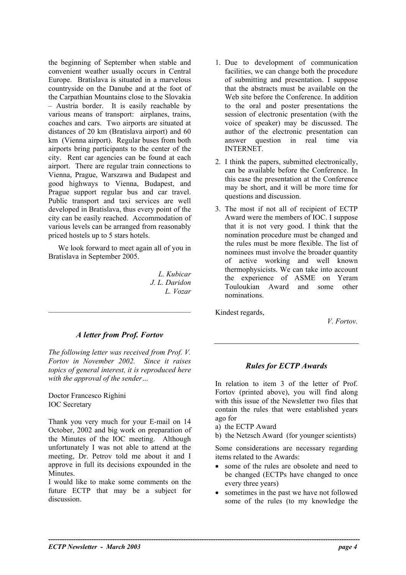the beginning of September when stable and convenient weather usually occurs in Central Europe. Bratislava is situated in a marvelous countryside on the Danube and at the foot of the Carpathian Mountains close to the Slovakia – Austria border. It is easily reachable by various means of transport: airplanes, trains, coaches and cars. Two airports are situated at distances of 20 km (Bratislava airport) and 60 km (Vienna airport). Regular buses from both airports bring participants to the center of the city. Rent car agencies can be found at each airport. There are regular train connections to Vienna, Prague, Warszawa and Budapest and good highways to Vienna, Budapest, and Prague support regular bus and car travel. Public transport and taxi services are well developed in Bratislava, thus every point of the city can be easily reached. Accommodation of various levels can be arranged from reasonably priced hostels up to 5 stars hotels.

We look forward to meet again all of you in Bratislava in September 2005.

> *L. Kubicar J. L. Daridon L. Vozar*

*A letter from Prof. Fortov*

 $\mathcal{L}_\text{max}$ 

*The following letter was received from Prof. V. Fortov in November 2002. Since it raises topics of general interest, it is reproduced here with the approval of the sender…*

Doctor Francesco Righini IOC Secretary

Thank you very much for your E-mail on 14 October, 2002 and big work on preparation of the Minutes of the IOC meeting. Although unfortunately I was not able to attend at the meeting, Dr. Petrov told me about it and I approve in full its decisions expounded in the **Minutes** 

I would like to make some comments on the future ECTP that may be a subject for discussion.

- 1. Due to development of communication facilities, we can change both the procedure of submitting and presentation. I suppose that the abstracts must be available on the Web site before the Conference. In addition to the oral and poster presentations the session of electronic presentation (with the voice of speaker) may be discussed. The author of the electronic presentation can answer question in real time via INTERNET.
- 2. I think the papers, submitted electronically, can be available before the Conference. In this case the presentation at the Conference may be short, and it will be more time for questions and discussion.
- 3. The most if not all of recipient of ECTP Award were the members of IOC. I suppose that it is not very good. I think that the nomination procedure must be changed and the rules must be more flexible. The list of nominees must involve the broader quantity of active working and well known thermophysicists. We can take into account the experience of ASME on Yeram Touloukian Award and some other nominations.

Kindest regards,

*V. Fortov.*

# *Rules for ECTP Awards*

In relation to item 3 of the letter of Prof. Fortov (printed above), you will find along with this issue of the Newsletter two files that contain the rules that were established years ago for

a) the ECTP Award

**----------------------------------------------------------------------------------------------------------------------------------------**

b) the Netzsch Award (for younger scientists)

Some considerations are necessary regarding items related to the Awards:

- some of the rules are obsolete and need to be changed (ECTPs have changed to once every three years)
- sometimes in the past we have not followed some of the rules (to my knowledge the